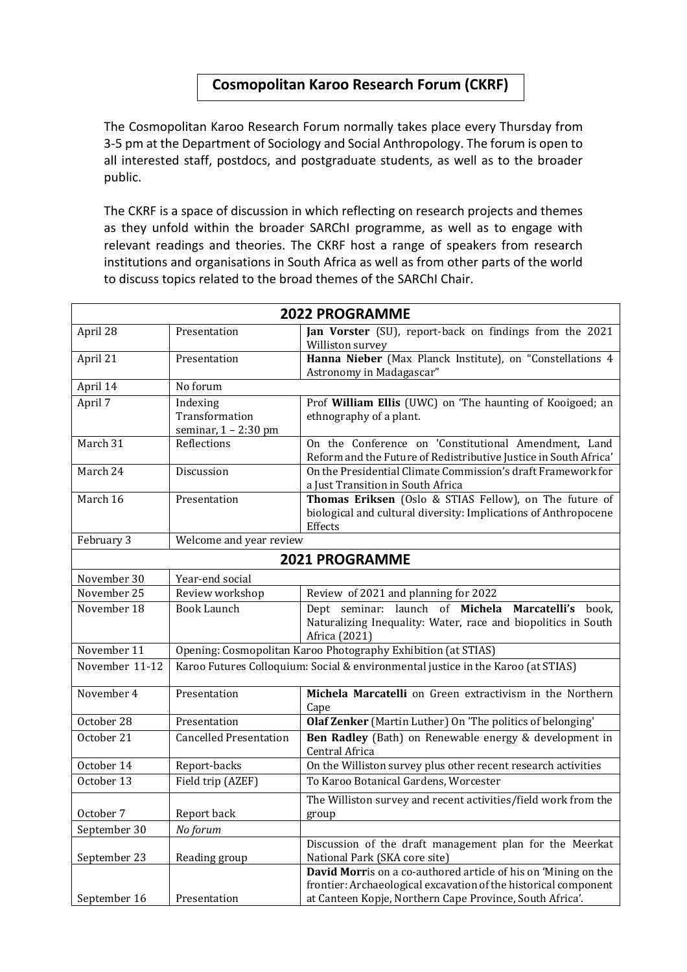## **Cosmopolitan Karoo Research Forum (CKRF)**

The Cosmopolitan Karoo Research Forum normally takes place every Thursday from 3-5 pm at the Department of Sociology and Social Anthropology. The forum is open to all interested staff, postdocs, and postgraduate students, as well as to the broader public.

The CKRF is a space of discussion in which reflecting on research projects and themes as they unfold within the broader SARChI programme, as well as to engage with relevant readings and theories. The CKRF host a range of speakers from research institutions and organisations in South Africa as well as from other parts of the world to discuss topics related to the broad themes of the SARChI Chair.

| <b>2022 PROGRAMME</b> |                                                                                  |                                                                                                                                                                                               |  |
|-----------------------|----------------------------------------------------------------------------------|-----------------------------------------------------------------------------------------------------------------------------------------------------------------------------------------------|--|
| April 28              | Presentation                                                                     | Jan Vorster (SU), report-back on findings from the 2021<br>Williston survey                                                                                                                   |  |
| April 21              | Presentation                                                                     | Hanna Nieber (Max Planck Institute), on "Constellations 4<br>Astronomy in Madagascar"                                                                                                         |  |
| April 14              | No forum                                                                         |                                                                                                                                                                                               |  |
| April 7               | Indexing<br>Transformation<br>seminar, 1 - 2:30 pm                               | Prof William Ellis (UWC) on 'The haunting of Kooigoed; an<br>ethnography of a plant.                                                                                                          |  |
| March 31              | Reflections                                                                      | On the Conference on 'Constitutional Amendment, Land<br>Reform and the Future of Redistributive Justice in South Africa'                                                                      |  |
| March 24              | Discussion                                                                       | On the Presidential Climate Commission's draft Framework for<br>a Just Transition in South Africa                                                                                             |  |
| March 16              | Presentation                                                                     | Thomas Eriksen (Oslo & STIAS Fellow), on The future of<br>biological and cultural diversity: Implications of Anthropocene<br>Effects                                                          |  |
| February 3            | Welcome and year review                                                          |                                                                                                                                                                                               |  |
| <b>2021 PROGRAMME</b> |                                                                                  |                                                                                                                                                                                               |  |
| November 30           | Year-end social                                                                  |                                                                                                                                                                                               |  |
| November 25           | Review workshop                                                                  | Review of 2021 and planning for 2022                                                                                                                                                          |  |
| November 18           | <b>Book Launch</b>                                                               | Dept seminar: launch of Michela Marcatelli's<br>book,<br>Naturalizing Inequality: Water, race and biopolitics in South<br>Africa (2021)                                                       |  |
| November 11           | Opening: Cosmopolitan Karoo Photography Exhibition (at STIAS)                    |                                                                                                                                                                                               |  |
| November 11-12        | Karoo Futures Colloquium: Social & environmental justice in the Karoo (at STIAS) |                                                                                                                                                                                               |  |
| November 4            | Presentation                                                                     | Michela Marcatelli on Green extractivism in the Northern<br>Cape                                                                                                                              |  |
| October 28            | Presentation                                                                     | Olaf Zenker (Martin Luther) On 'The politics of belonging'                                                                                                                                    |  |
| October 21            | <b>Cancelled Presentation</b>                                                    | Ben Radley (Bath) on Renewable energy & development in<br>Central Africa                                                                                                                      |  |
| October 14            | Report-backs                                                                     | On the Williston survey plus other recent research activities                                                                                                                                 |  |
| October 13            | Field trip (AZEF)                                                                | To Karoo Botanical Gardens, Worcester                                                                                                                                                         |  |
| October 7             | Report back                                                                      | The Williston survey and recent activities/field work from the<br>group                                                                                                                       |  |
| September 30          | No forum                                                                         |                                                                                                                                                                                               |  |
| September 23          | Reading group                                                                    | Discussion of the draft management plan for the Meerkat<br>National Park (SKA core site)                                                                                                      |  |
| September 16          | Presentation                                                                     | David Morris on a co-authored article of his on 'Mining on the<br>frontier: Archaeological excavation of the historical component<br>at Canteen Kopje, Northern Cape Province, South Africa'. |  |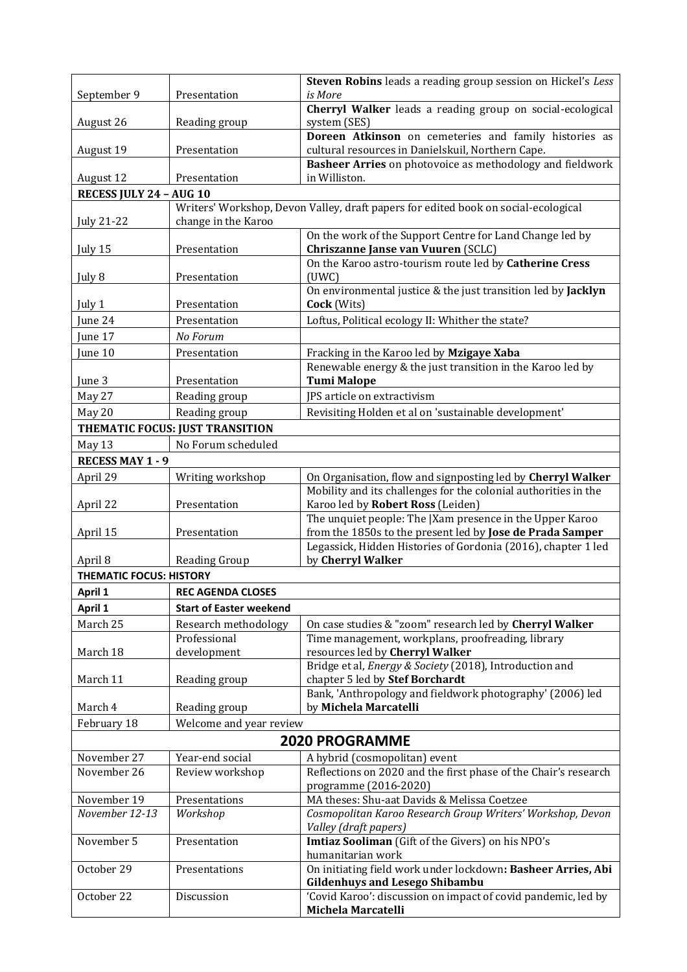|                                |                                 | Steven Robins leads a reading group session on Hickel's Less                                                               |
|--------------------------------|---------------------------------|----------------------------------------------------------------------------------------------------------------------------|
| September 9                    | Presentation                    | is More                                                                                                                    |
| August 26                      | Reading group                   | Cherryl Walker leads a reading group on social-ecological<br>system (SES)                                                  |
|                                |                                 | Doreen Atkinson on cemeteries and family histories as                                                                      |
| August 19                      | Presentation                    | cultural resources in Danielskuil, Northern Cape.                                                                          |
|                                |                                 | Basheer Arries on photovoice as methodology and fieldwork                                                                  |
| August 12                      | Presentation                    | in Williston.                                                                                                              |
| RECESS JULY 24 - AUG 10        |                                 |                                                                                                                            |
|                                | change in the Karoo             | Writers' Workshop, Devon Valley, draft papers for edited book on social-ecological                                         |
| July 21-22                     |                                 | On the work of the Support Centre for Land Change led by                                                                   |
| July 15                        | Presentation                    | Chriszanne Janse van Vuuren (SCLC)                                                                                         |
|                                |                                 | On the Karoo astro-tourism route led by Catherine Cress                                                                    |
| July 8                         | Presentation                    | (UWC)                                                                                                                      |
|                                |                                 | On environmental justice & the just transition led by Jacklyn                                                              |
| July 1                         | Presentation                    | Cock (Wits)                                                                                                                |
| June 24                        | Presentation                    | Loftus, Political ecology II: Whither the state?                                                                           |
| June 17                        | No Forum                        |                                                                                                                            |
| June 10                        | Presentation                    | Fracking in the Karoo led by Mzigaye Xaba<br>Renewable energy & the just transition in the Karoo led by                    |
| June 3                         | Presentation                    | <b>Tumi Malope</b>                                                                                                         |
| May 27                         | Reading group                   | JPS article on extractivism                                                                                                |
| May 20                         | Reading group                   | Revisiting Holden et al on 'sustainable development'                                                                       |
|                                | THEMATIC FOCUS: JUST TRANSITION |                                                                                                                            |
| May 13                         | No Forum scheduled              |                                                                                                                            |
| <b>RECESS MAY 1 - 9</b>        |                                 |                                                                                                                            |
| April 29                       | Writing workshop                | On Organisation, flow and signposting led by Cherryl Walker                                                                |
|                                |                                 | Mobility and its challenges for the colonial authorities in the                                                            |
| April 22                       | Presentation                    | Karoo led by Robert Ross (Leiden)                                                                                          |
|                                |                                 | The unquiet people: The  Xam presence in the Upper Karoo                                                                   |
| April 15                       | Presentation                    | from the 1850s to the present led by Jose de Prada Samper<br>Legassick, Hidden Histories of Gordonia (2016), chapter 1 led |
| April 8                        | Reading Group                   | by Cherryl Walker                                                                                                          |
| <b>THEMATIC FOCUS: HISTORY</b> |                                 |                                                                                                                            |
| April 1                        | <b>REC AGENDA CLOSES</b>        |                                                                                                                            |
| April 1                        | <b>Start of Easter weekend</b>  |                                                                                                                            |
| March 25                       | Research methodology            | On case studies & "zoom" research led by Cherryl Walker                                                                    |
|                                | Professional                    | Time management, workplans, proofreading, library                                                                          |
| March 18                       | development                     | resources led by Cherryl Walker                                                                                            |
| March 11                       | Reading group                   | Bridge et al, Energy & Society (2018), Introduction and<br>chapter 5 led by Stef Borchardt                                 |
|                                |                                 | Bank, 'Anthropology and fieldwork photography' (2006) led                                                                  |
| March 4                        | Reading group                   | by Michela Marcatelli                                                                                                      |
| February 18                    | Welcome and year review         |                                                                                                                            |
|                                |                                 | <b>2020 PROGRAMME</b>                                                                                                      |
| November 27                    | Year-end social                 | A hybrid (cosmopolitan) event                                                                                              |
| November 26                    | Review workshop                 | Reflections on 2020 and the first phase of the Chair's research                                                            |
|                                |                                 | programme (2016-2020)                                                                                                      |
| November 19                    | Presentations                   | MA theses: Shu-aat Davids & Melissa Coetzee                                                                                |
| November 12-13                 | Workshop                        | Cosmopolitan Karoo Research Group Writers' Workshop, Devon<br>Valley (draft papers)                                        |
| November 5                     | Presentation                    | Imtiaz Sooliman (Gift of the Givers) on his NPO's                                                                          |
|                                |                                 | humanitarian work                                                                                                          |
| October 29                     | Presentations                   | On initiating field work under lockdown: Basheer Arries, Abi                                                               |
|                                |                                 | <b>Gildenhuys and Lesego Shibambu</b>                                                                                      |
| October 22                     | Discussion                      | 'Covid Karoo': discussion on impact of covid pandemic, led by                                                              |
|                                |                                 | Michela Marcatelli                                                                                                         |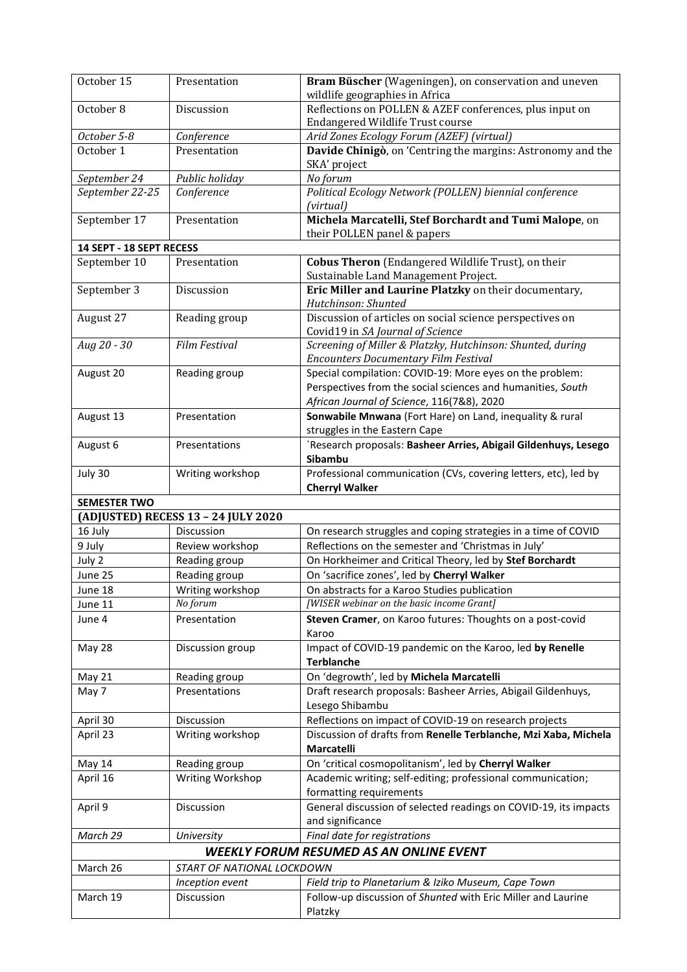| October 15               | Presentation                        | Bram Büscher (Wageningen), on conservation and uneven                                        |
|--------------------------|-------------------------------------|----------------------------------------------------------------------------------------------|
|                          |                                     | wildlife geographies in Africa                                                               |
| October 8                | Discussion                          | Reflections on POLLEN & AZEF conferences, plus input on                                      |
|                          |                                     | Endangered Wildlife Trust course                                                             |
| October 5-8              | Conference                          | Arid Zones Ecology Forum (AZEF) (virtual)                                                    |
| October 1                | Presentation                        | Davide Chinigò, on 'Centring the margins: Astronomy and the<br>SKA' project                  |
| September 24             | Public holiday                      | No forum                                                                                     |
| September 22-25          | Conference                          | Political Ecology Network (POLLEN) biennial conference<br>(virtual)                          |
| September 17             | Presentation                        | Michela Marcatelli, Stef Borchardt and Tumi Malope, on<br>their POLLEN panel & papers        |
| 14 SEPT - 18 SEPT RECESS |                                     |                                                                                              |
| September 10             | Presentation                        | <b>Cobus Theron</b> (Endangered Wildlife Trust), on their                                    |
|                          |                                     | Sustainable Land Management Project.                                                         |
| September 3              | Discussion                          | Eric Miller and Laurine Platzky on their documentary,<br>Hutchinson: Shunted                 |
| August 27                | Reading group                       | Discussion of articles on social science perspectives on<br>Covid19 in SA Journal of Science |
| Aug 20 - 30              | <b>Film Festival</b>                | Screening of Miller & Platzky, Hutchinson: Shunted, during                                   |
|                          |                                     | <b>Encounters Documentary Film Festival</b>                                                  |
| August 20                | Reading group                       | Special compilation: COVID-19: More eyes on the problem:                                     |
|                          |                                     | Perspectives from the social sciences and humanities, South                                  |
|                          |                                     | African Journal of Science, 116(7&8), 2020                                                   |
| August 13                | Presentation                        | Sonwabile Mnwana (Fort Hare) on Land, inequality & rural                                     |
|                          |                                     | struggles in the Eastern Cape                                                                |
| August 6                 | Presentations                       | `Research proposals: Basheer Arries, Abigail Gildenhuys, Lesego                              |
|                          |                                     | Sibambu                                                                                      |
| July 30                  | Writing workshop                    | Professional communication (CVs, covering letters, etc), led by                              |
|                          |                                     | <b>Cherryl Walker</b>                                                                        |
| <b>SEMESTER TWO</b>      |                                     |                                                                                              |
|                          | (ADJUSTED) RECESS 13 - 24 JULY 2020 |                                                                                              |
| 16 July                  | Discussion                          | On research struggles and coping strategies in a time of COVID                               |
| 9 July                   | Review workshop                     | Reflections on the semester and 'Christmas in July'                                          |
| July 2                   | Reading group                       | On Horkheimer and Critical Theory, led by Stef Borchardt                                     |
| June 25                  | Reading group                       | On 'sacrifice zones', led by Cherryl Walker                                                  |
| June 18                  | Writing workshop                    | On abstracts for a Karoo Studies publication                                                 |
| June 11                  | No forum                            | [WISER webinar on the basic income Grant]                                                    |
| June 4                   | Presentation                        | Steven Cramer, on Karoo futures: Thoughts on a post-covid<br>Karoo                           |
| May 28                   | Discussion group                    | Impact of COVID-19 pandemic on the Karoo, led by Renelle<br><b>Terblanche</b>                |
| May 21                   | Reading group                       | On 'degrowth', led by Michela Marcatelli                                                     |
| May 7                    | Presentations                       | Draft research proposals: Basheer Arries, Abigail Gildenhuys,                                |
|                          |                                     | Lesego Shibambu                                                                              |
| April 30                 | Discussion                          | Reflections on impact of COVID-19 on research projects                                       |
| April 23                 | Writing workshop                    | Discussion of drafts from Renelle Terblanche, Mzi Xaba, Michela<br>Marcatelli                |
| May 14                   | Reading group                       | On 'critical cosmopolitanism', led by Cherryl Walker                                         |
| April 16                 | Writing Workshop                    | Academic writing; self-editing; professional communication;                                  |
|                          |                                     | formatting requirements                                                                      |
| April 9                  | Discussion                          | General discussion of selected readings on COVID-19, its impacts                             |
|                          |                                     | and significance                                                                             |
| March 29                 | University                          | Final date for registrations                                                                 |
|                          |                                     | <b>WEEKLY FORUM RESUMED AS AN ONLINE EVENT</b>                                               |
| March 26                 | START OF NATIONAL LOCKDOWN          |                                                                                              |
|                          | Inception event                     | Field trip to Planetarium & Iziko Museum, Cape Town                                          |
| March 19                 |                                     |                                                                                              |
|                          | Discussion                          | Follow-up discussion of Shunted with Eric Miller and Laurine<br>Platzky                      |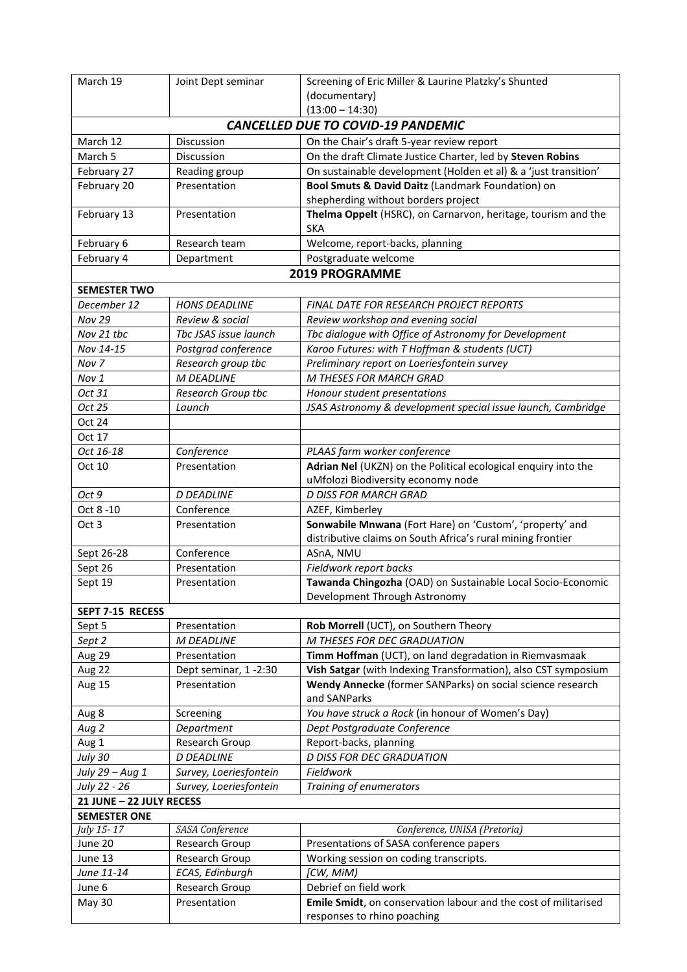| March 19                                  | Joint Dept seminar     | Screening of Eric Miller & Laurine Platzky's Shunted                                         |  |
|-------------------------------------------|------------------------|----------------------------------------------------------------------------------------------|--|
|                                           |                        | (documentary)                                                                                |  |
|                                           |                        | $(13:00 - 14:30)$                                                                            |  |
| <b>CANCELLED DUE TO COVID-19 PANDEMIC</b> |                        |                                                                                              |  |
| March 12                                  | Discussion             | On the Chair's draft 5-year review report                                                    |  |
| March 5                                   | Discussion             | On the draft Climate Justice Charter, led by Steven Robins                                   |  |
| February 27                               | Reading group          | On sustainable development (Holden et al) & a 'just transition'                              |  |
| February 20                               | Presentation           | Bool Smuts & David Daitz (Landmark Foundation) on                                            |  |
|                                           |                        | shepherding without borders project                                                          |  |
| February 13                               | Presentation           | Thelma Oppelt (HSRC), on Carnarvon, heritage, tourism and the                                |  |
|                                           |                        | <b>SKA</b>                                                                                   |  |
| February 6                                | Research team          | Welcome, report-backs, planning                                                              |  |
| February 4                                | Department             | Postgraduate welcome                                                                         |  |
|                                           |                        | <b>2019 PROGRAMME</b>                                                                        |  |
| <b>SEMESTER TWO</b>                       |                        |                                                                                              |  |
| December 12                               | <b>HONS DEADLINE</b>   | <b>FINAL DATE FOR RESEARCH PROJECT REPORTS</b>                                               |  |
| <b>Nov 29</b>                             | Review & social        | Review workshop and evening social                                                           |  |
| Nov 21 tbc                                | Tbc JSAS issue launch  | Tbc dialogue with Office of Astronomy for Development                                        |  |
| Nov 14-15                                 | Postgrad conference    | Karoo Futures: with T Hoffman & students (UCT)                                               |  |
| Nov 7                                     | Research group tbc     | Preliminary report on Loeriesfontein survey                                                  |  |
| Nov 1                                     | <b>M DEADLINE</b>      | M THESES FOR MARCH GRAD                                                                      |  |
| Oct 31                                    | Research Group tbc     | Honour student presentations                                                                 |  |
| Oct 25                                    | Launch                 | JSAS Astronomy & development special issue launch, Cambridge                                 |  |
| Oct 24                                    |                        |                                                                                              |  |
| Oct 17                                    |                        |                                                                                              |  |
| Oct 16-18                                 | Conference             | PLAAS farm worker conference                                                                 |  |
| Oct 10                                    | Presentation           | Adrian Nel (UKZN) on the Political ecological enquiry into the                               |  |
|                                           |                        | uMfolozi Biodiversity economy node                                                           |  |
| Oct 9                                     | <b>D DEADLINE</b>      | <b>D DISS FOR MARCH GRAD</b>                                                                 |  |
| Oct 8 - 10                                | Conference             | AZEF, Kimberley                                                                              |  |
| Oct 3                                     | Presentation           | Sonwabile Mnwana (Fort Hare) on 'Custom', 'property' and                                     |  |
|                                           |                        | distributive claims on South Africa's rural mining frontier                                  |  |
| Sept 26-28                                | Conference             | ASnA, NMU                                                                                    |  |
| Sept 26                                   | Presentation           | Fieldwork report backs                                                                       |  |
| Sept 19                                   | Presentation           | Tawanda Chingozha (OAD) on Sustainable Local Socio-Economic<br>Development Through Astronomy |  |
| SEPT 7-15 RECESS                          |                        |                                                                                              |  |
| Sept 5                                    | Presentation           | Rob Morrell (UCT), on Southern Theory                                                        |  |
| Sept 2                                    | M DEADLINE             | M THESES FOR DEC GRADUATION                                                                  |  |
| Aug 29                                    | Presentation           | Timm Hoffman (UCT), on land degradation in Riemvasmaak                                       |  |
| Aug 22                                    | Dept seminar, 1-2:30   | Vish Satgar (with Indexing Transformation), also CST symposium                               |  |
| Aug 15                                    | Presentation           | Wendy Annecke (former SANParks) on social science research                                   |  |
|                                           |                        | and SANParks                                                                                 |  |
| Aug 8                                     | Screening              | You have struck a Rock (in honour of Women's Day)                                            |  |
| Aug 2                                     | Department             | Dept Postgraduate Conference                                                                 |  |
| Aug 1                                     | Research Group         | Report-backs, planning                                                                       |  |
| July 30                                   | <b>D DEADLINE</b>      | <b>D DISS FOR DEC GRADUATION</b>                                                             |  |
| July 29 - Aug 1                           | Survey, Loeriesfontein | Fieldwork                                                                                    |  |
| July 22 - 26                              | Survey, Loeriesfontein | Training of enumerators                                                                      |  |
| 21 JUNE - 22 JULY RECESS                  |                        |                                                                                              |  |
| <b>SEMESTER ONE</b>                       |                        |                                                                                              |  |
| July 15-17                                | SASA Conference        | Conference, UNISA (Pretoria)                                                                 |  |
| June 20                                   | Research Group         | Presentations of SASA conference papers                                                      |  |
| June 13                                   | Research Group         | Working session on coding transcripts.                                                       |  |
| June 11-14                                | ECAS, Edinburgh        | [CW, MiM)                                                                                    |  |
| June 6                                    | Research Group         | Debrief on field work                                                                        |  |
| May 30                                    | Presentation           | Emile Smidt, on conservation labour and the cost of militarised                              |  |
|                                           |                        | responses to rhino poaching                                                                  |  |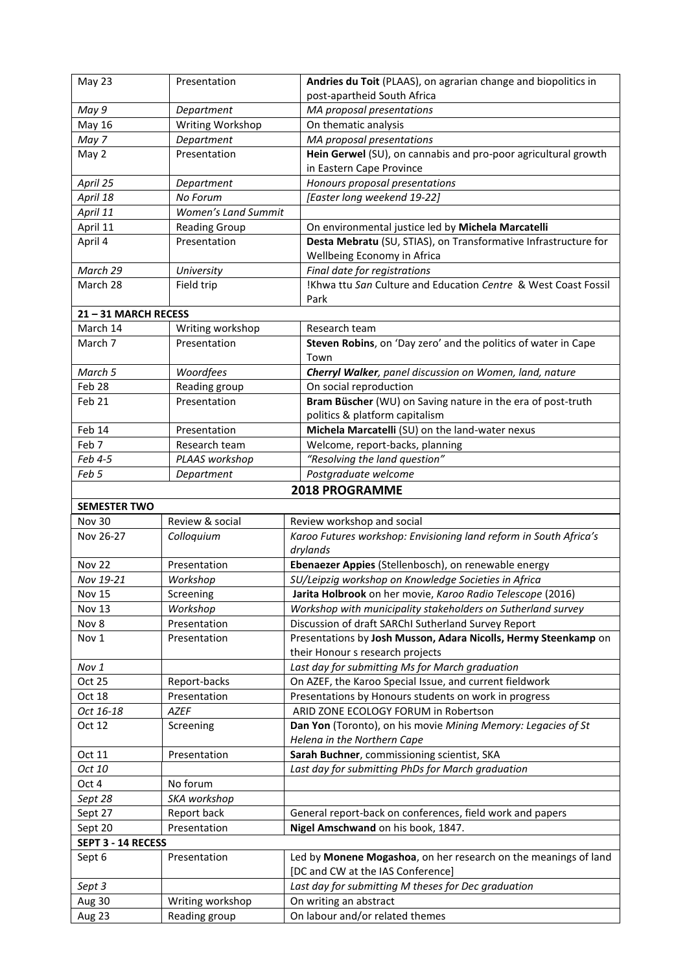| May 23                | Presentation                      | Andries du Toit (PLAAS), on agrarian change and biopolitics in         |  |  |
|-----------------------|-----------------------------------|------------------------------------------------------------------------|--|--|
|                       |                                   | post-apartheid South Africa                                            |  |  |
| May 9                 | Department                        | MA proposal presentations                                              |  |  |
| May 16                | Writing Workshop                  | On thematic analysis                                                   |  |  |
| May 7                 | Department                        | MA proposal presentations                                              |  |  |
| May 2                 | Presentation                      | Hein Gerwel (SU), on cannabis and pro-poor agricultural growth         |  |  |
|                       |                                   | in Eastern Cape Province                                               |  |  |
| April 25              | Department                        | Honours proposal presentations                                         |  |  |
| April 18              | No Forum                          | [Easter long weekend 19-22]                                            |  |  |
| April 11              | <b>Women's Land Summit</b>        |                                                                        |  |  |
| April 11              | <b>Reading Group</b>              | On environmental justice led by Michela Marcatelli                     |  |  |
| April 4               | Presentation                      | Desta Mebratu (SU, STIAS), on Transformative Infrastructure for        |  |  |
|                       |                                   | Wellbeing Economy in Africa                                            |  |  |
| March 29              | University                        | Final date for registrations                                           |  |  |
| March 28              | Field trip                        | !Khwa ttu San Culture and Education Centre & West Coast Fossil<br>Park |  |  |
| 21-31 MARCH RECESS    |                                   |                                                                        |  |  |
| March 14              | Writing workshop                  | Research team                                                          |  |  |
| March 7               | Presentation                      | Steven Robins, on 'Day zero' and the politics of water in Cape         |  |  |
|                       |                                   | Town                                                                   |  |  |
| March 5               | Woordfees                         | Cherryl Walker, panel discussion on Women, land, nature                |  |  |
| Feb 28                | Reading group                     | On social reproduction                                                 |  |  |
| Feb <sub>21</sub>     | Presentation                      | Bram Büscher (WU) on Saving nature in the era of post-truth            |  |  |
|                       |                                   | politics & platform capitalism                                         |  |  |
| Feb 14                | Presentation                      | Michela Marcatelli (SU) on the land-water nexus                        |  |  |
| Feb 7                 | Research team                     | Welcome, report-backs, planning                                        |  |  |
| Feb 4-5               | PLAAS workshop                    | "Resolving the land question"                                          |  |  |
| Feb 5                 | Department                        | Postgraduate welcome                                                   |  |  |
| <b>2018 PROGRAMME</b> |                                   |                                                                        |  |  |
|                       |                                   |                                                                        |  |  |
| <b>SEMESTER TWO</b>   |                                   |                                                                        |  |  |
| <b>Nov 30</b>         | Review & social                   | Review workshop and social                                             |  |  |
| Nov 26-27             | Colloquium                        | Karoo Futures workshop: Envisioning land reform in South Africa's      |  |  |
|                       |                                   | drylands                                                               |  |  |
| <b>Nov 22</b>         | Presentation                      | Ebenaezer Appies (Stellenbosch), on renewable energy                   |  |  |
| Nov 19-21             | Workshop                          | SU/Leipzig workshop on Knowledge Societies in Africa                   |  |  |
| <b>Nov 15</b>         | Screening                         | Jarita Holbrook on her movie, Karoo Radio Telescope (2016)             |  |  |
| <b>Nov 13</b>         | Workshop                          | Workshop with municipality stakeholders on Sutherland survey           |  |  |
| Nov 8                 | Presentation                      | Discussion of draft SARChI Sutherland Survey Report                    |  |  |
| Nov 1                 | Presentation                      | Presentations by Josh Musson, Adara Nicolls, Hermy Steenkamp on        |  |  |
|                       |                                   | their Honour s research projects                                       |  |  |
| Nov 1                 |                                   | Last day for submitting Ms for March graduation                        |  |  |
| Oct 25                | Report-backs                      | On AZEF, the Karoo Special Issue, and current fieldwork                |  |  |
| Oct 18                | Presentation                      | Presentations by Honours students on work in progress                  |  |  |
| Oct 16-18             | <b>AZEF</b>                       | ARID ZONE ECOLOGY FORUM in Robertson                                   |  |  |
| Oct 12                | Screening                         | Dan Yon (Toronto), on his movie Mining Memory: Legacies of St          |  |  |
|                       |                                   | Helena in the Northern Cape                                            |  |  |
| Oct 11                | Presentation                      | Sarah Buchner, commissioning scientist, SKA                            |  |  |
| Oct 10                |                                   | Last day for submitting PhDs for March graduation                      |  |  |
| Oct 4                 | No forum                          |                                                                        |  |  |
| Sept 28               | SKA workshop                      |                                                                        |  |  |
| Sept 27               | Report back                       | General report-back on conferences, field work and papers              |  |  |
| Sept 20               | Presentation                      | Nigel Amschwand on his book, 1847.                                     |  |  |
| SEPT 3 - 14 RECESS    |                                   |                                                                        |  |  |
| Sept 6                | Presentation                      | Led by Monene Mogashoa, on her research on the meanings of land        |  |  |
|                       |                                   | [DC and CW at the IAS Conference]                                      |  |  |
| Sept 3                |                                   | Last day for submitting M theses for Dec graduation                    |  |  |
| Aug 30<br>Aug 23      | Writing workshop<br>Reading group | On writing an abstract<br>On labour and/or related themes              |  |  |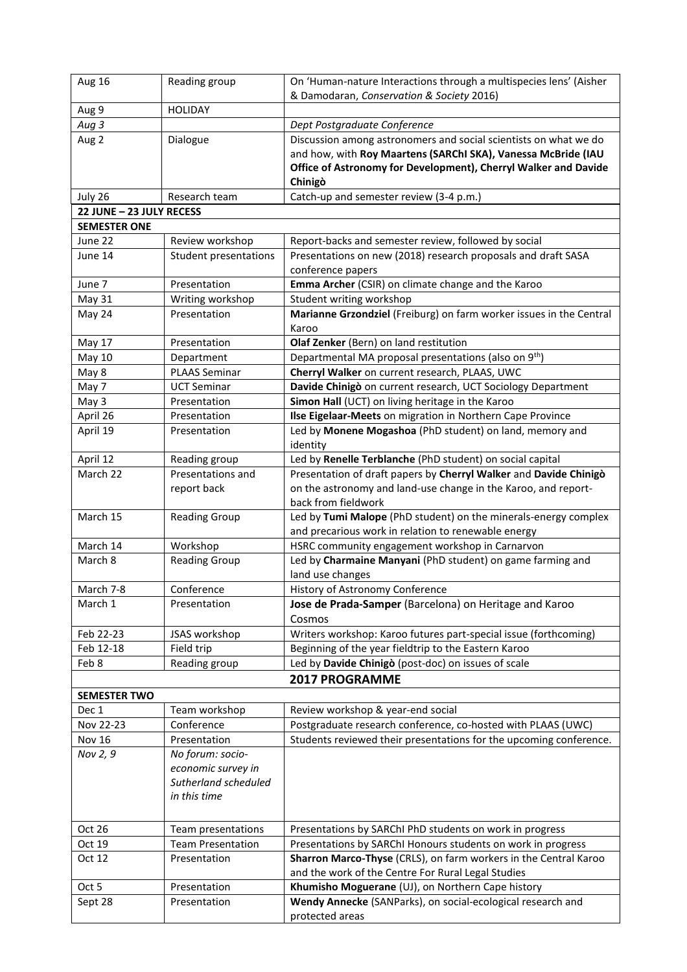| Aug 16                   | Reading group                        | On 'Human-nature Interactions through a multispecies lens' (Aisher                    |
|--------------------------|--------------------------------------|---------------------------------------------------------------------------------------|
|                          |                                      | & Damodaran, Conservation & Society 2016)                                             |
| Aug 9                    | <b>HOLIDAY</b>                       |                                                                                       |
| Aug 3                    |                                      | Dept Postgraduate Conference                                                          |
| Aug 2                    | Dialogue                             | Discussion among astronomers and social scientists on what we do                      |
|                          |                                      | and how, with Roy Maartens (SARChI SKA), Vanessa McBride (IAU                         |
|                          |                                      | Office of Astronomy for Development), Cherryl Walker and Davide                       |
|                          |                                      | Chinigò                                                                               |
| July 26                  | Research team                        | Catch-up and semester review (3-4 p.m.)                                               |
| 22 JUNE - 23 JULY RECESS |                                      |                                                                                       |
| <b>SEMESTER ONE</b>      |                                      |                                                                                       |
| June 22                  | Review workshop                      | Report-backs and semester review, followed by social                                  |
| June 14                  | <b>Student presentations</b>         | Presentations on new (2018) research proposals and draft SASA                         |
|                          |                                      | conference papers                                                                     |
| June 7                   | Presentation                         | Emma Archer (CSIR) on climate change and the Karoo                                    |
| May 31                   | Writing workshop                     | Student writing workshop                                                              |
| May 24                   | Presentation                         | Marianne Grzondziel (Freiburg) on farm worker issues in the Central                   |
|                          |                                      | Karoo                                                                                 |
| May 17                   | Presentation                         | Olaf Zenker (Bern) on land restitution                                                |
| <b>May 10</b>            | Department                           | Departmental MA proposal presentations (also on 9 <sup>th</sup> )                     |
| May 8                    | <b>PLAAS Seminar</b>                 | Cherryl Walker on current research, PLAAS, UWC                                        |
| May 7                    | <b>UCT Seminar</b>                   | Davide Chinigò on current research, UCT Sociology Department                          |
| May 3                    | Presentation                         | Simon Hall (UCT) on living heritage in the Karoo                                      |
| April 26                 | Presentation                         | Ilse Eigelaar-Meets on migration in Northern Cape Province                            |
| April 19                 | Presentation                         | Led by Monene Mogashoa (PhD student) on land, memory and                              |
|                          |                                      | identity                                                                              |
| April 12                 | Reading group                        | Led by Renelle Terblanche (PhD student) on social capital                             |
| March 22                 | Presentations and                    | Presentation of draft papers by Cherryl Walker and Davide Chinigò                     |
|                          | report back                          | on the astronomy and land-use change in the Karoo, and report-<br>back from fieldwork |
| March 15                 | <b>Reading Group</b>                 | Led by Tumi Malope (PhD student) on the minerals-energy complex                       |
|                          |                                      | and precarious work in relation to renewable energy                                   |
| March 14                 | Workshop                             | HSRC community engagement workshop in Carnarvon                                       |
| March 8                  | <b>Reading Group</b>                 | Led by Charmaine Manyani (PhD student) on game farming and                            |
|                          |                                      | land use changes                                                                      |
| March 7-8                | Conference                           | History of Astronomy Conference                                                       |
| March 1                  | Presentation                         | Jose de Prada-Samper (Barcelona) on Heritage and Karoo                                |
|                          |                                      | Cosmos                                                                                |
| Feb 22-23                | JSAS workshop                        | Writers workshop: Karoo futures part-special issue (forthcoming)                      |
| Feb 12-18                | Field trip                           | Beginning of the year fieldtrip to the Eastern Karoo                                  |
| Feb 8                    | Reading group                        | Led by Davide Chinigò (post-doc) on issues of scale                                   |
|                          |                                      | <b>2017 PROGRAMME</b>                                                                 |
|                          |                                      |                                                                                       |
| <b>SEMESTER TWO</b>      |                                      |                                                                                       |
| Dec 1                    | Team workshop                        | Review workshop & year-end social                                                     |
| Nov 22-23                | Conference                           | Postgraduate research conference, co-hosted with PLAAS (UWC)                          |
| <b>Nov 16</b>            | Presentation                         | Students reviewed their presentations for the upcoming conference.                    |
| Nov 2, 9                 | No forum: socio-                     |                                                                                       |
|                          | economic survey in                   |                                                                                       |
|                          | Sutherland scheduled<br>in this time |                                                                                       |
|                          |                                      |                                                                                       |
|                          |                                      |                                                                                       |
| Oct 26                   | Team presentations                   | Presentations by SARChI PhD students on work in progress                              |
| Oct 19                   | <b>Team Presentation</b>             | Presentations by SARChI Honours students on work in progress                          |
| Oct 12                   | Presentation                         | Sharron Marco-Thyse (CRLS), on farm workers in the Central Karoo                      |
|                          |                                      | and the work of the Centre For Rural Legal Studies                                    |
| Oct 5                    | Presentation                         | Khumisho Moguerane (UJ), on Northern Cape history                                     |
| Sept 28                  | Presentation                         | Wendy Annecke (SANParks), on social-ecological research and                           |
|                          |                                      | protected areas                                                                       |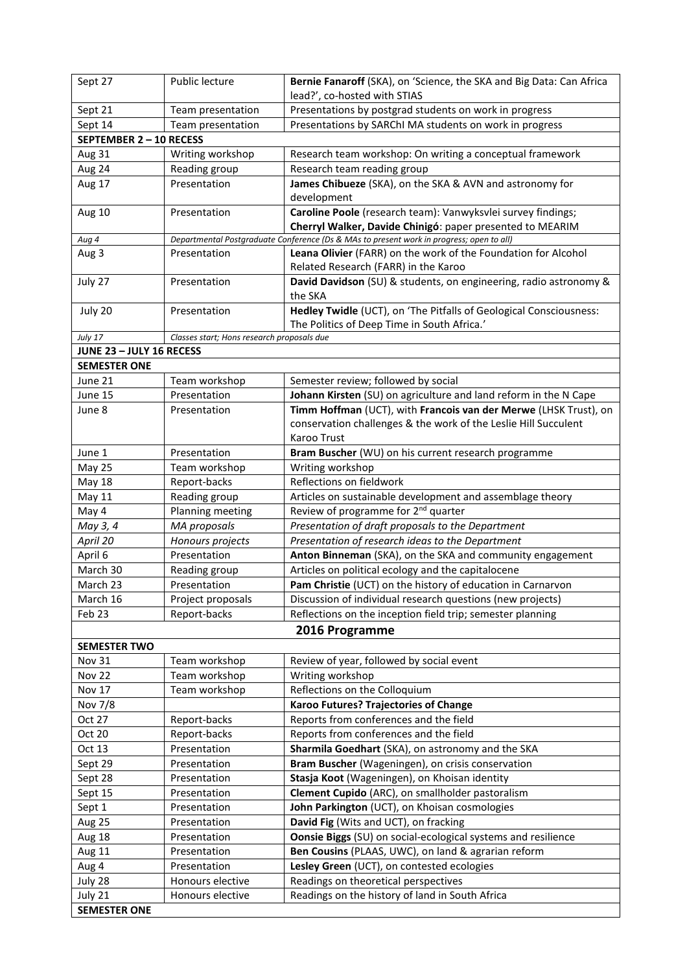| Sept 27                  | Public lecture                             | Bernie Fanaroff (SKA), on 'Science, the SKA and Big Data: Can Africa                                                      |  |
|--------------------------|--------------------------------------------|---------------------------------------------------------------------------------------------------------------------------|--|
|                          |                                            | lead?', co-hosted with STIAS                                                                                              |  |
| Sept 21                  | Team presentation                          | Presentations by postgrad students on work in progress                                                                    |  |
| Sept 14                  | Team presentation                          | Presentations by SARChI MA students on work in progress                                                                   |  |
| SEPTEMBER 2-10 RECESS    |                                            |                                                                                                                           |  |
| Aug 31                   | Writing workshop                           | Research team workshop: On writing a conceptual framework                                                                 |  |
| Aug 24                   | Reading group                              | Research team reading group                                                                                               |  |
| Aug 17                   | Presentation                               | James Chibueze (SKA), on the SKA & AVN and astronomy for<br>development                                                   |  |
| Aug 10                   | Presentation                               | Caroline Poole (research team): Vanwyksvlei survey findings;<br>Cherryl Walker, Davide Chinigó: paper presented to MEARIM |  |
| Aug 4                    |                                            | Departmental Postgraduate Conference (Ds & MAs to present work in progress; open to all)                                  |  |
| Aug 3                    | Presentation                               | Leana Olivier (FARR) on the work of the Foundation for Alcohol<br>Related Research (FARR) in the Karoo                    |  |
| July 27                  | Presentation                               | David Davidson (SU) & students, on engineering, radio astronomy &<br>the SKA                                              |  |
| July 20                  | Presentation                               | Hedley Twidle (UCT), on 'The Pitfalls of Geological Consciousness:<br>The Politics of Deep Time in South Africa.'         |  |
| July 17                  | Classes start; Hons research proposals due |                                                                                                                           |  |
| JUNE 23 - JULY 16 RECESS |                                            |                                                                                                                           |  |
| <b>SEMESTER ONE</b>      |                                            |                                                                                                                           |  |
| June 21                  | Team workshop                              | Semester review; followed by social                                                                                       |  |
| June 15                  | Presentation                               | Johann Kirsten (SU) on agriculture and land reform in the N Cape                                                          |  |
| June 8                   | Presentation                               | Timm Hoffman (UCT), with Francois van der Merwe (LHSK Trust), on                                                          |  |
|                          |                                            | conservation challenges & the work of the Leslie Hill Succulent                                                           |  |
|                          |                                            | Karoo Trust                                                                                                               |  |
| June 1                   | Presentation                               | Bram Buscher (WU) on his current research programme                                                                       |  |
| <b>May 25</b>            | Team workshop                              | Writing workshop                                                                                                          |  |
| May 18                   | Report-backs                               | Reflections on fieldwork                                                                                                  |  |
| May 11                   | Reading group                              | Articles on sustainable development and assemblage theory                                                                 |  |
| May 4                    | Planning meeting                           | Review of programme for 2 <sup>nd</sup> quarter                                                                           |  |
| May 3, 4                 | MA proposals                               | Presentation of draft proposals to the Department                                                                         |  |
| April 20                 | Honours projects                           | Presentation of research ideas to the Department                                                                          |  |
| April 6                  | Presentation                               | Anton Binneman (SKA), on the SKA and community engagement                                                                 |  |
| March 30                 | Reading group                              | Articles on political ecology and the capitalocene                                                                        |  |
| March 23                 | Presentation                               | Pam Christie (UCT) on the history of education in Carnarvon                                                               |  |
| March 16                 | Project proposals                          | Discussion of individual research questions (new projects)                                                                |  |
| Feb 23                   | Report-backs                               | Reflections on the inception field trip; semester planning                                                                |  |
| 2016 Programme           |                                            |                                                                                                                           |  |
| <b>SEMESTER TWO</b>      |                                            |                                                                                                                           |  |
| <b>Nov 31</b>            | Team workshop                              | Review of year, followed by social event                                                                                  |  |
| <b>Nov 22</b>            | Team workshop                              | Writing workshop                                                                                                          |  |
| <b>Nov 17</b>            | Team workshop                              | Reflections on the Colloquium                                                                                             |  |
| Nov 7/8                  |                                            | Karoo Futures? Trajectories of Change                                                                                     |  |
| Oct 27                   | Report-backs                               | Reports from conferences and the field                                                                                    |  |
| Oct 20                   | Report-backs                               | Reports from conferences and the field                                                                                    |  |
| Oct 13                   | Presentation                               | Sharmila Goedhart (SKA), on astronomy and the SKA                                                                         |  |
| Sept 29                  | Presentation                               | Bram Buscher (Wageningen), on crisis conservation                                                                         |  |
| Sept 28                  | Presentation                               | Stasja Koot (Wageningen), on Khoisan identity                                                                             |  |
| Sept 15                  | Presentation                               | Clement Cupido (ARC), on smallholder pastoralism                                                                          |  |
| Sept 1                   | Presentation                               | John Parkington (UCT), on Khoisan cosmologies                                                                             |  |
| Aug 25                   | Presentation                               | David Fig (Wits and UCT), on fracking                                                                                     |  |
| Aug 18                   | Presentation                               | Oonsie Biggs (SU) on social-ecological systems and resilience                                                             |  |
| Aug 11                   | Presentation                               | Ben Cousins (PLAAS, UWC), on land & agrarian reform                                                                       |  |
| Aug 4                    | Presentation                               | Lesley Green (UCT), on contested ecologies                                                                                |  |
| July 28                  | Honours elective                           | Readings on theoretical perspectives                                                                                      |  |
| July 21                  | Honours elective                           | Readings on the history of land in South Africa                                                                           |  |
| <b>SEMESTER ONE</b>      |                                            |                                                                                                                           |  |